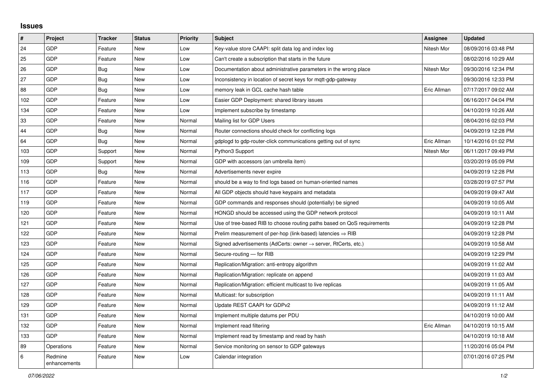## **Issues**

| #   | Project                 | <b>Tracker</b> | <b>Status</b> | <b>Priority</b> | <b>Subject</b>                                                          | Assignee    | <b>Updated</b>      |
|-----|-------------------------|----------------|---------------|-----------------|-------------------------------------------------------------------------|-------------|---------------------|
| 24  | GDP                     | Feature        | <b>New</b>    | Low             | Key-value store CAAPI: split data log and index log                     | Nitesh Mor  | 08/09/2016 03:48 PM |
| 25  | GDP                     | Feature        | <b>New</b>    | Low             | Can't create a subscription that starts in the future                   |             | 08/02/2016 10:29 AM |
| 26  | GDP                     | <b>Bug</b>     | <b>New</b>    | Low             | Documentation about administrative parameters in the wrong place        | Nitesh Mor  | 09/30/2016 12:34 PM |
| 27  | GDP                     | <b>Bug</b>     | <b>New</b>    | Low             | Inconsistency in location of secret keys for mgtt-gdp-gateway           |             | 09/30/2016 12:33 PM |
| 88  | GDP                     | Bug            | <b>New</b>    | Low             | memory leak in GCL cache hash table                                     | Eric Allman | 07/17/2017 09:02 AM |
| 102 | GDP                     | Feature        | <b>New</b>    | Low             | Easier GDP Deployment: shared library issues                            |             | 06/16/2017 04:04 PM |
| 134 | GDP                     | Feature        | New           | Low             | Implement subscribe by timestamp                                        |             | 04/10/2019 10:26 AM |
| 33  | GDP                     | Feature        | <b>New</b>    | Normal          | Mailing list for GDP Users                                              |             | 08/04/2016 02:03 PM |
| 44  | GDP                     | <b>Bug</b>     | <b>New</b>    | Normal          | Router connections should check for conflicting logs                    |             | 04/09/2019 12:28 PM |
| 64  | GDP                     | Bug            | <b>New</b>    | Normal          | gdplogd to gdp-router-click communications getting out of sync          | Eric Allman | 10/14/2016 01:02 PM |
| 103 | GDP                     | Support        | <b>New</b>    | Normal          | Python3 Support                                                         | Nitesh Mor  | 06/11/2017 09:49 PM |
| 109 | GDP                     | Support        | New           | Normal          | GDP with accessors (an umbrella item)                                   |             | 03/20/2019 05:09 PM |
| 113 | GDP                     | Bug            | New           | Normal          | Advertisements never expire                                             |             | 04/09/2019 12:28 PM |
| 116 | GDP                     | Feature        | <b>New</b>    | Normal          | should be a way to find logs based on human-oriented names              |             | 03/28/2019 07:57 PM |
| 117 | GDP                     | Feature        | New           | Normal          | All GDP objects should have keypairs and metadata                       |             | 04/09/2019 09:47 AM |
| 119 | GDP                     | Feature        | New           | Normal          | GDP commands and responses should (potentially) be signed               |             | 04/09/2019 10:05 AM |
| 120 | GDP                     | Feature        | New           | Normal          | HONGD should be accessed using the GDP network protocol                 |             | 04/09/2019 10:11 AM |
| 121 | GDP                     | Feature        | <b>New</b>    | Normal          | Use of tree-based RIB to choose routing paths based on QoS requirements |             | 04/09/2019 12:28 PM |
| 122 | GDP                     | Feature        | New           | Normal          | Prelim measurement of per-hop (link-based) latencies $\Rightarrow$ RIB  |             | 04/09/2019 12:28 PM |
| 123 | GDP                     | Feature        | New           | Normal          | Signed advertisements (AdCerts: owner → server, RtCerts, etc.)          |             | 04/09/2019 10:58 AM |
| 124 | GDP                     | Feature        | <b>New</b>    | Normal          | Secure-routing - for RIB                                                |             | 04/09/2019 12:29 PM |
| 125 | GDP                     | Feature        | <b>New</b>    | Normal          | Replication/Migration: anti-entropy algorithm                           |             | 04/09/2019 11:02 AM |
| 126 | GDP                     | Feature        | <b>New</b>    | Normal          | Replication/Migration: replicate on append                              |             | 04/09/2019 11:03 AM |
| 127 | GDP                     | Feature        | <b>New</b>    | Normal          | Replication/Migration: efficient multicast to live replicas             |             | 04/09/2019 11:05 AM |
| 128 | GDP                     | Feature        | <b>New</b>    | Normal          | Multicast: for subscription                                             |             | 04/09/2019 11:11 AM |
| 129 | GDP                     | Feature        | <b>New</b>    | Normal          | Update REST CAAPI for GDPv2                                             |             | 04/09/2019 11:12 AM |
| 131 | GDP                     | Feature        | New           | Normal          | Implement multiple datums per PDU                                       |             | 04/10/2019 10:00 AM |
| 132 | GDP                     | Feature        | <b>New</b>    | Normal          | Implement read filtering                                                | Eric Allman | 04/10/2019 10:15 AM |
| 133 | GDP                     | Feature        | <b>New</b>    | Normal          | Implement read by timestamp and read by hash                            |             | 04/10/2019 10:18 AM |
| 89  | Operations              | Feature        | <b>New</b>    | Normal          | Service monitoring on sensor to GDP gateways                            |             | 11/20/2016 05:04 PM |
| 6   | Redmine<br>enhancements | Feature        | <b>New</b>    | Low             | Calendar integration                                                    |             | 07/01/2016 07:25 PM |